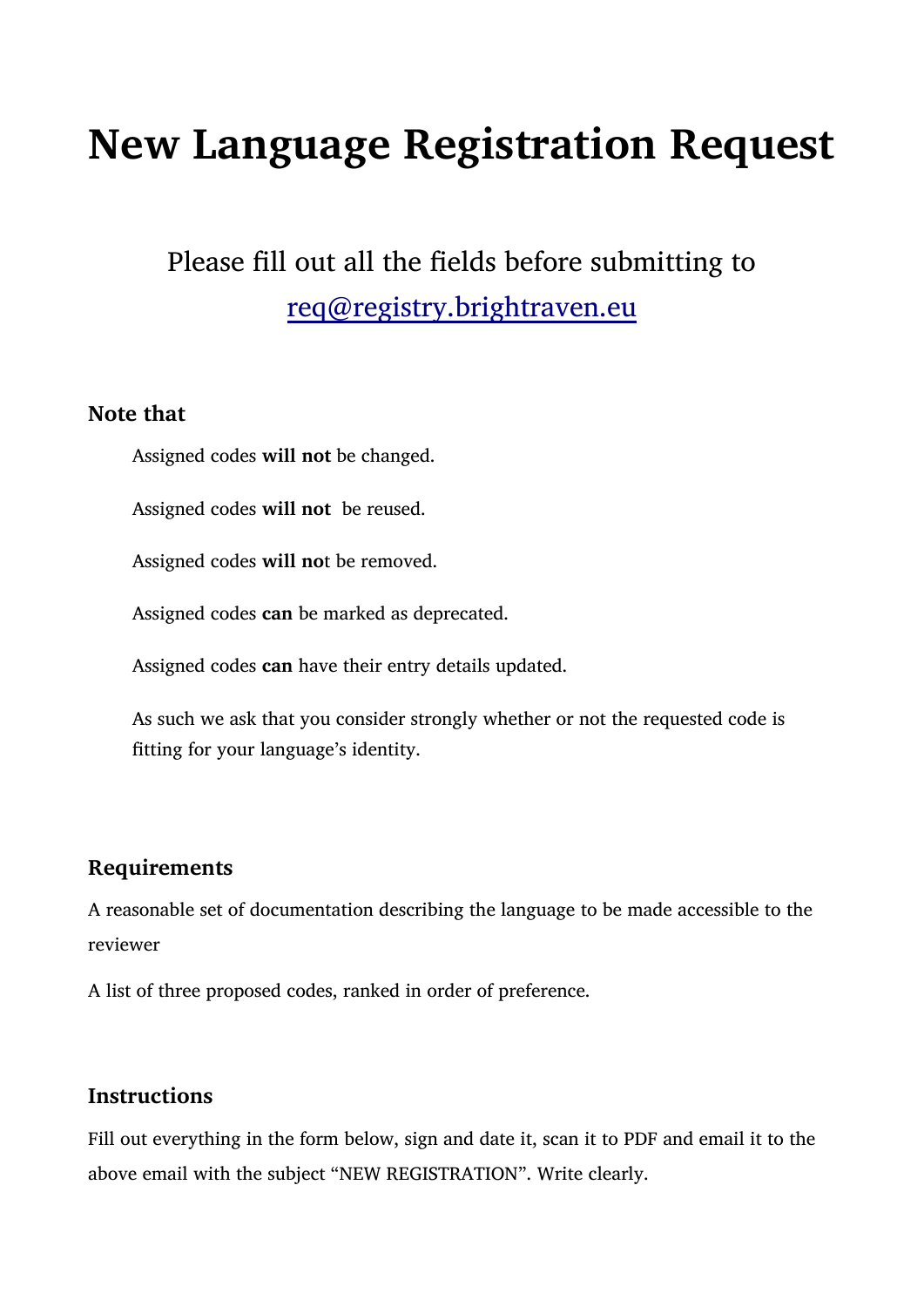# **New Language Registration Request**

# Please fill out all the fields before submitting to [req@registry.brightraven.eu](mailto:req@registry.brightraven.eu)

#### **Note that**

Assigned codes **will not** be changed.

Assigned codes **will not** be reused.

Assigned codes **will no**t be removed.

Assigned codes **can** be marked as deprecated.

Assigned codes **can** have their entry details updated.

As such we ask that you consider strongly whether or not the requested code is fitting for your language's identity.

## **Requirements**

A reasonable set of documentation describing the language to be made accessible to the reviewer

A list of three proposed codes, ranked in order of preference.

## **Instructions**

Fill out everything in the form below, sign and date it, scan it to PDF and email it to the above email with the subject "NEW REGISTRATION". Write clearly.